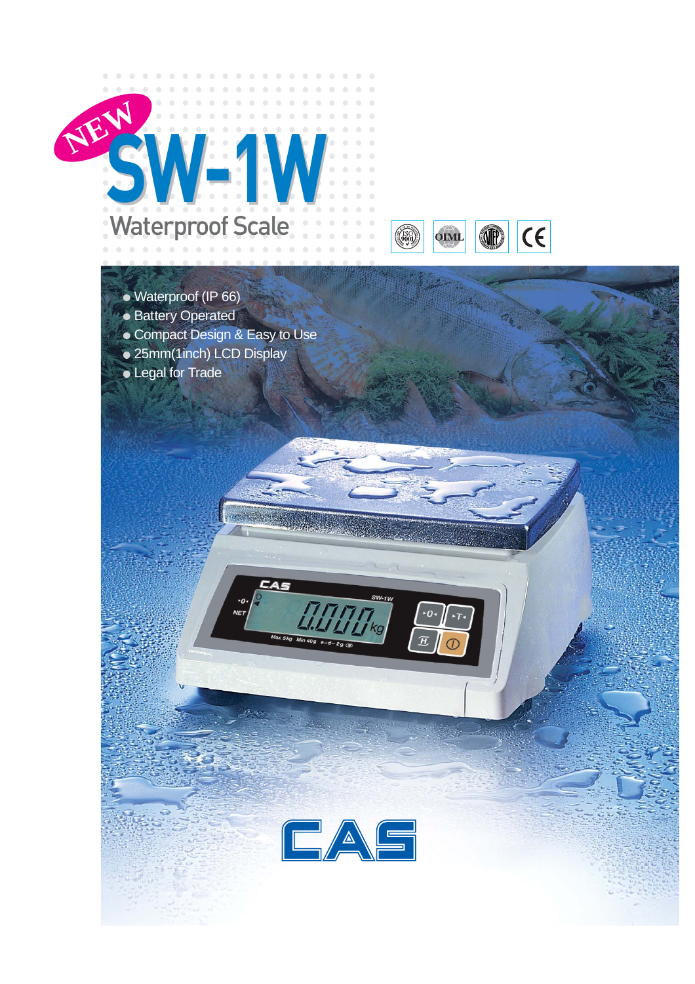

- Waterproof (IP 66)
- Battery Operated
- Compact Design & Easy to Use

CAS

- 25mm(1inch) LCD Display
- Legal for Trade



<u>sw</u>-1w

 $\frac{1}{\log n}$ 

 $\cdot$ o

 $\overline{H}$